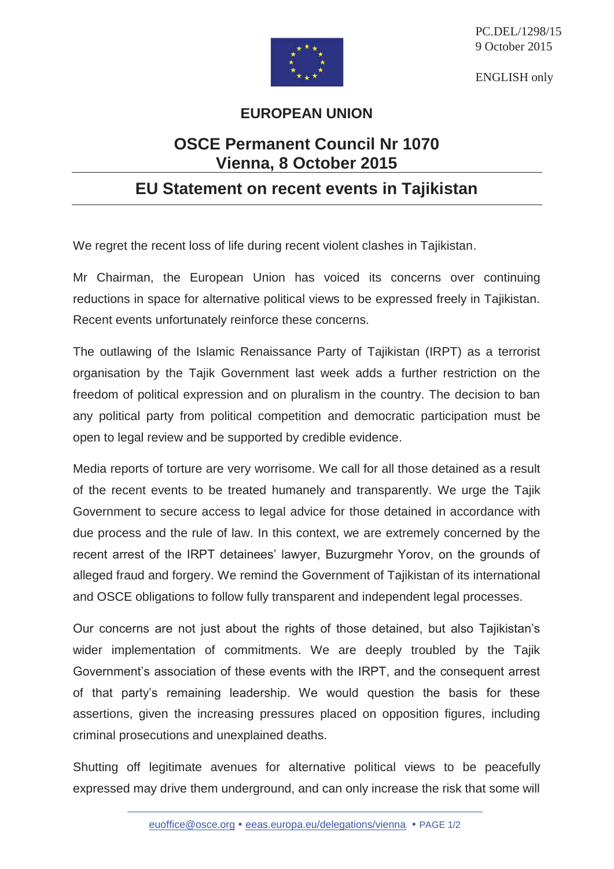

PC.DEL/1298/15 9 October 2015

ENGLISH only

## **EUROPEAN UNION**

## **OSCE Permanent Council Nr 1070 Vienna, 8 October 2015**

## **EU Statement on recent events in Tajikistan**

We regret the recent loss of life during recent violent clashes in Tajikistan.

Mr Chairman, the European Union has voiced its concerns over continuing reductions in space for alternative political views to be expressed freely in Tajikistan. Recent events unfortunately reinforce these concerns.

The outlawing of the Islamic Renaissance Party of Tajikistan (IRPT) as a terrorist organisation by the Tajik Government last week adds a further restriction on the freedom of political expression and on pluralism in the country. The decision to ban any political party from political competition and democratic participation must be open to legal review and be supported by credible evidence.

Media reports of torture are very worrisome. We call for all those detained as a result of the recent events to be treated humanely and transparently. We urge the Tajik Government to secure access to legal advice for those detained in accordance with due process and the rule of law. In this context, we are extremely concerned by the recent arrest of the IRPT detainees' lawyer, Buzurgmehr Yorov, on the grounds of alleged fraud and forgery. We remind the Government of Tajikistan of its international and OSCE obligations to follow fully transparent and independent legal processes.

Our concerns are not just about the rights of those detained, but also Tajikistan's wider implementation of commitments. We are deeply troubled by the Tajik Government's association of these events with the IRPT, and the consequent arrest of that party's remaining leadership. We would question the basis for these assertions, given the increasing pressures placed on opposition figures, including criminal prosecutions and unexplained deaths.

Shutting off legitimate avenues for alternative political views to be peacefully expressed may drive them underground, and can only increase the risk that some will